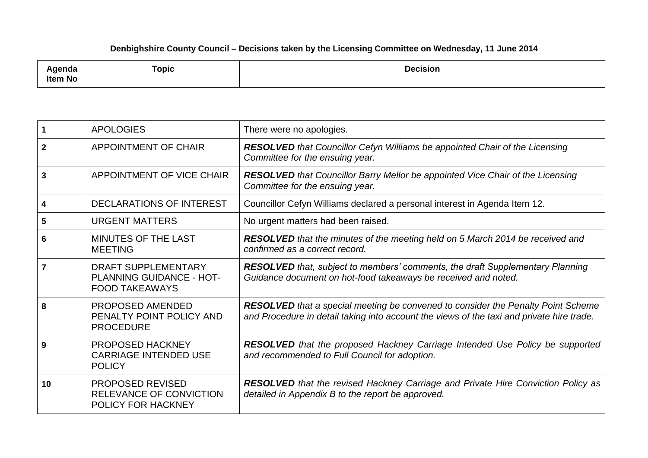## **Denbighshire County Council – Decisions taken by the Licensing Committee on Wednesday, 11 June 2014**

| .<br>enua<br>Item No | <b>Topic</b> | <b>Decision</b> |
|----------------------|--------------|-----------------|
|----------------------|--------------|-----------------|

|              | <b>APOLOGIES</b>                                                                | There were no apologies.                                                                                                                                                             |
|--------------|---------------------------------------------------------------------------------|--------------------------------------------------------------------------------------------------------------------------------------------------------------------------------------|
| $\mathbf{2}$ | <b>APPOINTMENT OF CHAIR</b>                                                     | <b>RESOLVED</b> that Councillor Cefyn Williams be appointed Chair of the Licensing<br>Committee for the ensuing year.                                                                |
| 3            | APPOINTMENT OF VICE CHAIR                                                       | <b>RESOLVED</b> that Councillor Barry Mellor be appointed Vice Chair of the Licensing<br>Committee for the ensuing year.                                                             |
| 4            | DECLARATIONS OF INTEREST                                                        | Councillor Cefyn Williams declared a personal interest in Agenda Item 12.                                                                                                            |
| 5            | <b>URGENT MATTERS</b>                                                           | No urgent matters had been raised.                                                                                                                                                   |
| 6            | MINUTES OF THE LAST<br><b>MEETING</b>                                           | <b>RESOLVED</b> that the minutes of the meeting held on 5 March 2014 be received and<br>confirmed as a correct record.                                                               |
|              | <b>DRAFT SUPPLEMENTARY</b><br>PLANNING GUIDANCE - HOT-<br><b>FOOD TAKEAWAYS</b> | <b>RESOLVED</b> that, subject to members' comments, the draft Supplementary Planning<br>Guidance document on hot-food takeaways be received and noted.                               |
| 8            | PROPOSED AMENDED<br>PENALTY POINT POLICY AND<br><b>PROCEDURE</b>                | <b>RESOLVED</b> that a special meeting be convened to consider the Penalty Point Scheme<br>and Procedure in detail taking into account the views of the taxi and private hire trade. |
| 9            | PROPOSED HACKNEY<br><b>CARRIAGE INTENDED USE</b><br><b>POLICY</b>               | <b>RESOLVED</b> that the proposed Hackney Carriage Intended Use Policy be supported<br>and recommended to Full Council for adoption.                                                 |
| 10           | <b>PROPOSED REVISED</b><br>RELEVANCE OF CONVICTION<br><b>POLICY FOR HACKNEY</b> | <b>RESOLVED</b> that the revised Hackney Carriage and Private Hire Conviction Policy as<br>detailed in Appendix B to the report be approved.                                         |